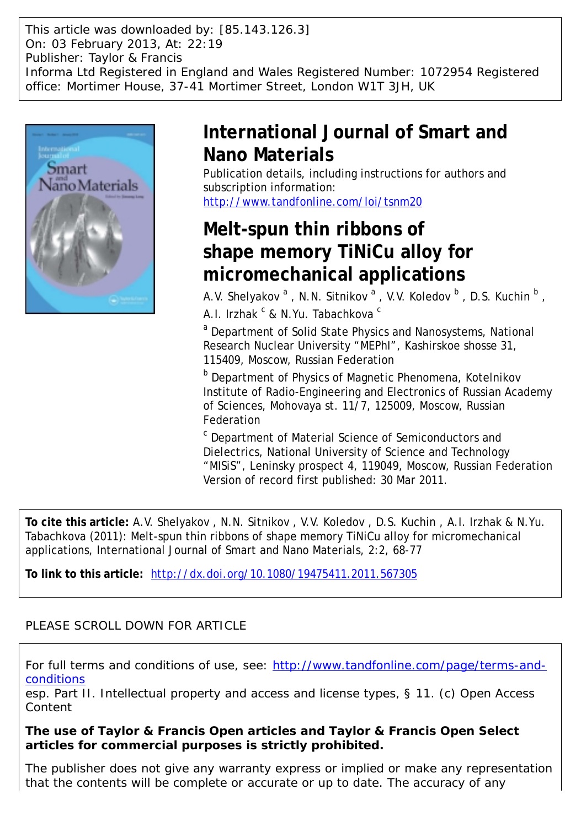This article was downloaded by: [85.143.126.3] On: 03 February 2013, At: 22:19 Publisher: Taylor & Francis Informa Ltd Registered in England and Wales Registered Number: 1072954 Registered office: Mortimer House, 37-41 Mortimer Street, London W1T 3JH, UK



## **International Journal of Smart and Nano Materials**

Publication details, including instructions for authors and subscription information: <http://www.tandfonline.com/loi/tsnm20>

# **Melt-spun thin ribbons of shape memory TiNiCu alloy for micromechanical applications**

A.V. Shelyakov  $^{\mathsf{a}}$  , N.N. Sitnikov  $^{\mathsf{a}}$  , V.V. Koledov  $^{\mathsf{b}}$  , D.S. Kuchin  $^{\mathsf{b}}$  , A.I. Irzhak <sup>c</sup> & N.Yu. Tabachkova <sup>c</sup>

<sup>a</sup> Department of Solid State Physics and Nanosystems, National Research Nuclear University "MEPhI", Kashirskoe shosse 31, 115409, Moscow, Russian Federation

**b** Department of Physics of Magnetic Phenomena, Kotelnikov Institute of Radio-Engineering and Electronics of Russian Academy of Sciences, Mohovaya st. 11/7, 125009, Moscow, Russian Federation

<sup>c</sup> Department of Material Science of Semiconductors and Dielectrics, National University of Science and Technology "MISiS", Leninsky prospect 4, 119049, Moscow, Russian Federation Version of record first published: 30 Mar 2011.

**To cite this article:** A.V. Shelyakov , N.N. Sitnikov , V.V. Koledov , D.S. Kuchin , A.I. Irzhak & N.Yu. Tabachkova (2011): Melt-spun thin ribbons of shape memory TiNiCu alloy for micromechanical applications, International Journal of Smart and Nano Materials, 2:2, 68-77

**To link to this article:** <http://dx.doi.org/10.1080/19475411.2011.567305>

### PLEASE SCROLL DOWN FOR ARTICLE

For full terms and conditions of use, see: [http://www.tandfonline.com/page/terms-and](http://www.tandfonline.com/page/terms-and-conditions)**[conditions](http://www.tandfonline.com/page/terms-and-conditions)** 

*esp.* Part II. Intellectual property and access and license types, § 11. (c) Open Access Content

**The use of Taylor & Francis Open articles and Taylor & Francis Open Select articles for commercial purposes is strictly prohibited.**

The publisher does not give any warranty express or implied or make any representation that the contents will be complete or accurate or up to date. The accuracy of any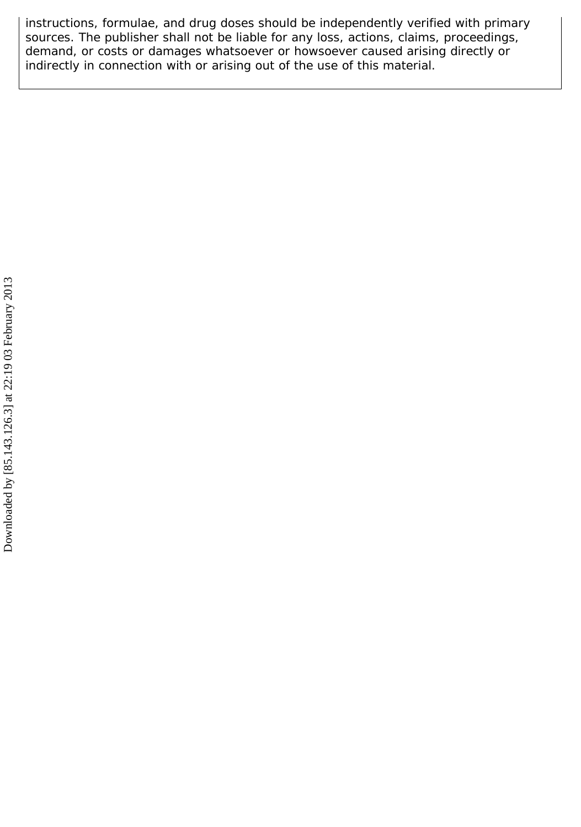instructions, formulae, and drug doses should be independently verified with primary sources. The publisher shall not be liable for any loss, actions, claims, proceedings, demand, or costs or damages whatsoever or howsoever caused arising directly or indirectly in connection with or arising out of the use of this material.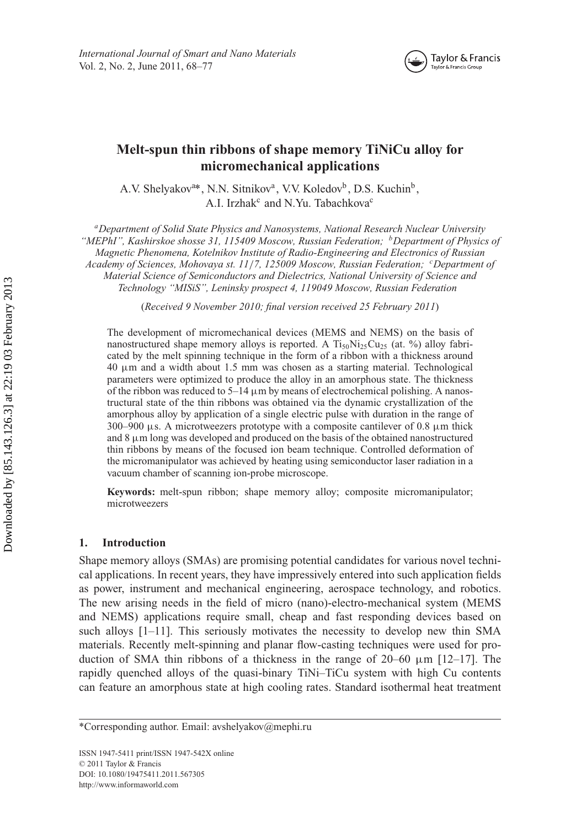

### **Melt-spun thin ribbons of shape memory TiNiCu alloy for micromechanical applications**

A.V. Shelyakov<sup>a\*</sup>, N.N. Sitnikov<sup>a</sup>, V.V. Koledov<sup>b</sup>, D.S. Kuchin<sup>b</sup>, A.I. Irzhak<sup>c</sup> and N.Yu. Tabachkova<sup>c</sup>

*aDepartment of Solid State Physics and Nanosystems, National Research Nuclear University "MEPhI", Kashirskoe shosse 31, 115409 Moscow, Russian Federation; bDepartment of Physics of Magnetic Phenomena, Kotelnikov Institute of Radio-Engineering and Electronics of Russian Academy of Sciences, Mohovaya st. 11*/*7, 125009 Moscow, Russian Federation; <sup>c</sup> Department of Material Science of Semiconductors and Dielectrics, National University of Science and*

*Technology "MISiS", Leninsky prospect 4, 119049 Moscow, Russian Federation*

(*Received 9 November 2010; final version received 25 February 2011*)

The development of micromechanical devices (MEMS and NEMS) on the basis of nanostructured shape memory alloys is reported. A  $Ti_{50}Ni_{25}Cu_{25}$  (at. %) alloy fabricated by the melt spinning technique in the form of a ribbon with a thickness around 40 µm and a width about 1.5 mm was chosen as a starting material. Technological parameters were optimized to produce the alloy in an amorphous state. The thickness of the ribbon was reduced to  $5-14 \mu m$  by means of electrochemical polishing. A nanostructural state of the thin ribbons was obtained via the dynamic crystallization of the amorphous alloy by application of a single electric pulse with duration in the range of  $300-900$   $\mu$ s. A microtweezers prototype with a composite cantilever of 0.8  $\mu$ m thick and  $8 \mu m$  long was developed and produced on the basis of the obtained nanostructured thin ribbons by means of the focused ion beam technique. Controlled deformation of the micromanipulator was achieved by heating using semiconductor laser radiation in a vacuum chamber of scanning ion-probe microscope.

**Keywords:** melt-spun ribbon; shape memory alloy; composite micromanipulator; microtweezers

#### **1. Introduction**

Shape memory alloys (SMAs) are promising potential candidates for various novel technical applications. In recent years, they have impressively entered into such application fields as power, instrument and mechanical engineering, aerospace technology, and robotics. The new arising needs in the field of micro (nano)-electro-mechanical system (MEMS and NEMS) applications require small, cheap and fast responding devices based on such alloys  $[1-11]$ . This seriously motivates the necessity to develop new thin SMA materials. Recently melt-spinning and planar flow-casting techniques were used for production of SMA thin ribbons of a thickness in the range of  $20-60 \mu m$  [12–17]. The rapidly quenched alloys of the quasi-binary TiNi–TiCu system with high Cu contents can feature an amorphous state at high cooling rates. Standard isothermal heat treatment

<sup>\*</sup>Corresponding author. Email: avshelyakov@mephi.ru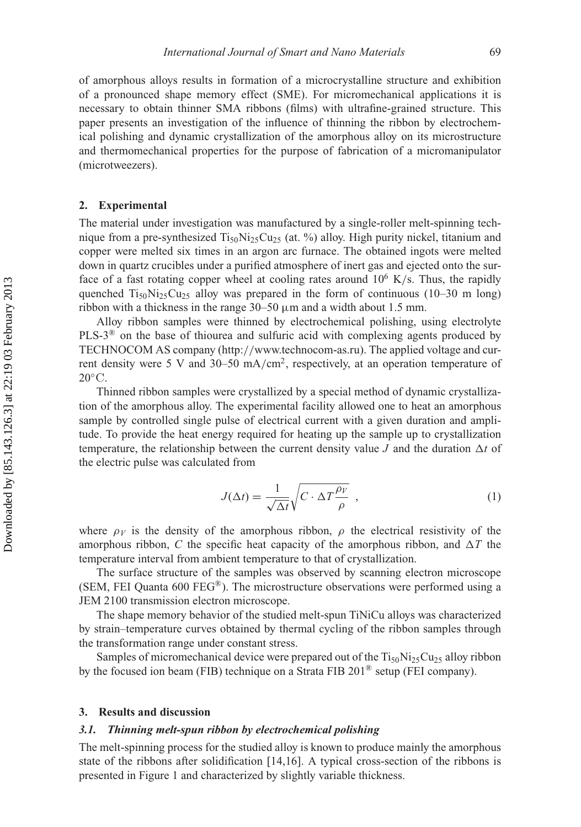of amorphous alloys results in formation of a microcrystalline structure and exhibition of a pronounced shape memory effect (SME). For micromechanical applications it is necessary to obtain thinner SMA ribbons (films) with ultrafine-grained structure. This paper presents an investigation of the influence of thinning the ribbon by electrochemical polishing and dynamic crystallization of the amorphous alloy on its microstructure and thermomechanical properties for the purpose of fabrication of a micromanipulator (microtweezers).

#### **2. Experimental**

The material under investigation was manufactured by a single-roller melt-spinning technique from a pre-synthesized  $Ti_{50}Ni_{25}Cu_{25}$  (at. %) alloy. High purity nickel, titanium and copper were melted six times in an argon arc furnace. The obtained ingots were melted down in quartz crucibles under a purified atmosphere of inert gas and ejected onto the surface of a fast rotating copper wheel at cooling rates around  $10^6$  K/s. Thus, the rapidly quenched  $Ti<sub>50</sub>Ni<sub>25</sub>Cu<sub>25</sub>$  alloy was prepared in the form of continuous (10–30 m long) ribbon with a thickness in the range  $30-50 \mu m$  and a width about 1.5 mm.

Alloy ribbon samples were thinned by electrochemical polishing, using electrolyte PLS-3<sup>®</sup> on the base of thiourea and sulfuric acid with complexing agents produced by TECHNOCOM AS company (http://www.technocom-as.ru). The applied voltage and current density were 5 V and 30–50 mA/cm<sup>2</sup>, respectively, at an operation temperature of  $20^{\circ}$ C.

Thinned ribbon samples were crystallized by a special method of dynamic crystallization of the amorphous alloy. The experimental facility allowed one to heat an amorphous sample by controlled single pulse of electrical current with a given duration and amplitude. To provide the heat energy required for heating up the sample up to crystallization temperature, the relationship between the current density value  $J$  and the duration  $\Delta t$  of the electric pulse was calculated from

$$
J(\Delta t) = \frac{1}{\sqrt{\Delta t}} \sqrt{C \cdot \Delta T \frac{\rho_V}{\rho}} \tag{1}
$$

where  $\rho_V$  is the density of the amorphous ribbon,  $\rho$  the electrical resistivity of the amorphous ribbon, C the specific heat capacity of the amorphous ribbon, and  $\Delta T$  the temperature interval from ambient temperature to that of crystallization.

The surface structure of the samples was observed by scanning electron microscope (SEM, FEI Quanta 600 FEG®). The microstructure observations were performed using a JEM 2100 transmission electron microscope.

The shape memory behavior of the studied melt-spun TiNiCu alloys was characterized by strain–temperature curves obtained by thermal cycling of the ribbon samples through the transformation range under constant stress.

Samples of micromechanical device were prepared out of the  $Ti_{50}Ni_{25}Cu_{25}$  alloy ribbon by the focused ion beam (FIB) technique on a Strata FIB 201® setup (FEI company).

#### **3. Results and discussion**

#### *3.1. Thinning melt-spun ribbon by electrochemical polishing*

The melt-spinning process for the studied alloy is known to produce mainly the amorphous state of the ribbons after solidification [14,16]. A typical cross-section of the ribbons is presented in Figure 1 and characterized by slightly variable thickness.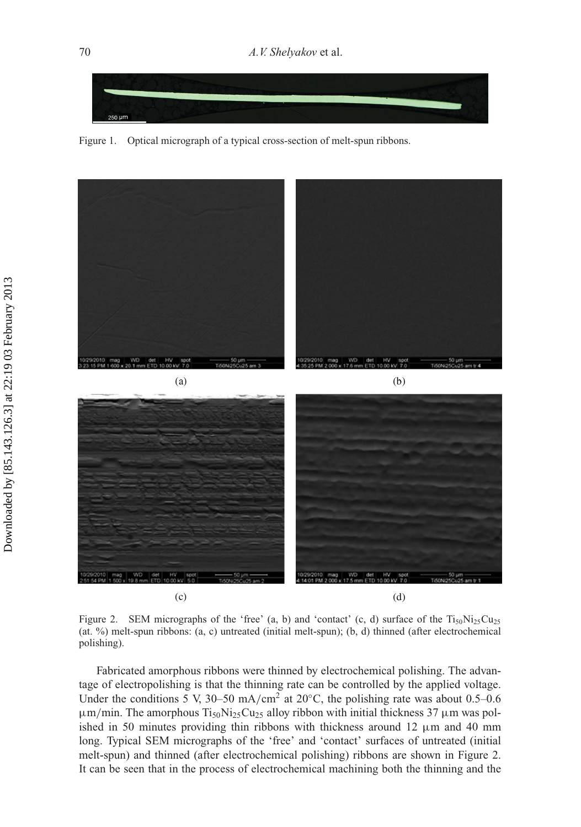

Figure 1. Optical micrograph of a typical cross-section of melt-spun ribbons.



Figure 2. SEM micrographs of the 'free' (a, b) and 'contact' (c, d) surface of the  $Ti_{50}Ni_{25}Cu_{25}$ (at. %) melt-spun ribbons: (a, c) untreated (initial melt-spun); (b, d) thinned (after electrochemical polishing).

Fabricated amorphous ribbons were thinned by electrochemical polishing. The advantage of electropolishing is that the thinning rate can be controlled by the applied voltage. Under the conditions 5 V, 30–50 mA/cm<sup>2</sup> at 20 $^{\circ}$ C, the polishing rate was about 0.5–0.6  $\mu$ m/min. The amorphous Ti<sub>50</sub>Ni<sub>25</sub>Cu<sub>25</sub> alloy ribbon with initial thickness 37  $\mu$ m was polished in 50 minutes providing thin ribbons with thickness around 12  $\mu$ m and 40 mm long. Typical SEM micrographs of the 'free' and 'contact' surfaces of untreated (initial melt-spun) and thinned (after electrochemical polishing) ribbons are shown in Figure 2. It can be seen that in the process of electrochemical machining both the thinning and the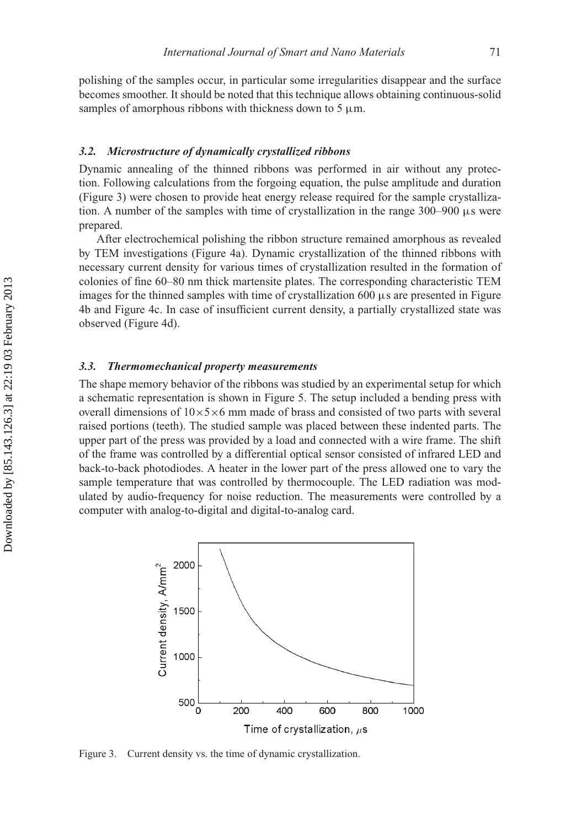polishing of the samples occur, in particular some irregularities disappear and the surface becomes smoother. It should be noted that this technique allows obtaining continuous-solid samples of amorphous ribbons with thickness down to 5  $\mu$ m.

#### *3.2. Microstructure of dynamically crystallized ribbons*

Dynamic annealing of the thinned ribbons was performed in air without any protection. Following calculations from the forgoing equation, the pulse amplitude and duration (Figure 3) were chosen to provide heat energy release required for the sample crystallization. A number of the samples with time of crystallization in the range  $300-900 \mu s$  were prepared.

After electrochemical polishing the ribbon structure remained amorphous as revealed by TEM investigations (Figure 4a). Dynamic crystallization of the thinned ribbons with necessary current density for various times of crystallization resulted in the formation of colonies of fine 60–80 nm thick martensite plates. The corresponding characteristic TEM images for the thinned samples with time of crystallization  $600 \mu s$  are presented in Figure 4b and Figure 4c. In case of insufficient current density, a partially crystallized state was observed (Figure 4d).

#### *3.3. Thermomechanical property measurements*

The shape memory behavior of the ribbons was studied by an experimental setup for which a schematic representation is shown in Figure 5. The setup included a bending press with overall dimensions of  $10\times5\times6$  mm made of brass and consisted of two parts with several raised portions (teeth). The studied sample was placed between these indented parts. The upper part of the press was provided by a load and connected with a wire frame. The shift of the frame was controlled by a differential optical sensor consisted of infrared LED and back-to-back photodiodes. A heater in the lower part of the press allowed one to vary the sample temperature that was controlled by thermocouple. The LED radiation was modulated by audio-frequency for noise reduction. The measurements were controlled by a computer with analog-to-digital and digital-to-analog card.



Figure 3. Current density vs. the time of dynamic crystallization.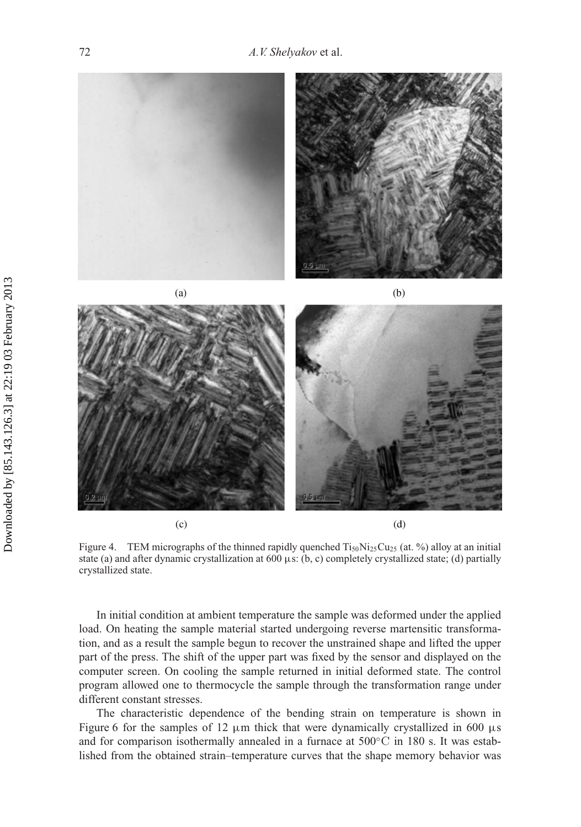

Figure 4. TEM micrographs of the thinned rapidly quenched  $Ti_{50}Ni_{25}Cu_{25}$  (at. %) alloy at an initial state (a) and after dynamic crystallization at 600  $\mu$ s: (b, c) completely crystallized state; (d) partially crystallized state.

In initial condition at ambient temperature the sample was deformed under the applied load. On heating the sample material started undergoing reverse martensitic transformation, and as a result the sample begun to recover the unstrained shape and lifted the upper part of the press. The shift of the upper part was fixed by the sensor and displayed on the computer screen. On cooling the sample returned in initial deformed state. The control program allowed one to thermocycle the sample through the transformation range under different constant stresses.

The characteristic dependence of the bending strain on temperature is shown in Figure 6 for the samples of 12  $\mu$ m thick that were dynamically crystallized in 600  $\mu$ s and for comparison isothermally annealed in a furnace at  $500^{\circ}$ C in 180 s. It was established from the obtained strain–temperature curves that the shape memory behavior was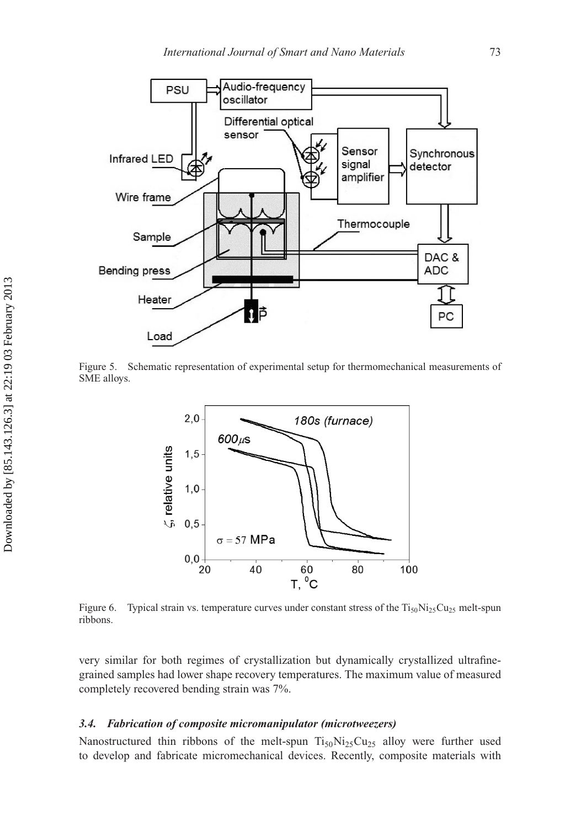

Figure 5. Schematic representation of experimental setup for thermomechanical measurements of SME alloys.



Figure 6. Typical strain vs. temperature curves under constant stress of the  $Ti_{50}Ni_{25}Cu_{25}$  melt-spun ribbons.

very similar for both regimes of crystallization but dynamically crystallized ultrafinegrained samples had lower shape recovery temperatures. The maximum value of measured completely recovered bending strain was 7%.

#### *3.4. Fabrication of composite micromanipulator (microtweezers)*

Nanostructured thin ribbons of the melt-spun  $Ti_{50}Ni_{25}Cu_{25}$  alloy were further used to develop and fabricate micromechanical devices. Recently, composite materials with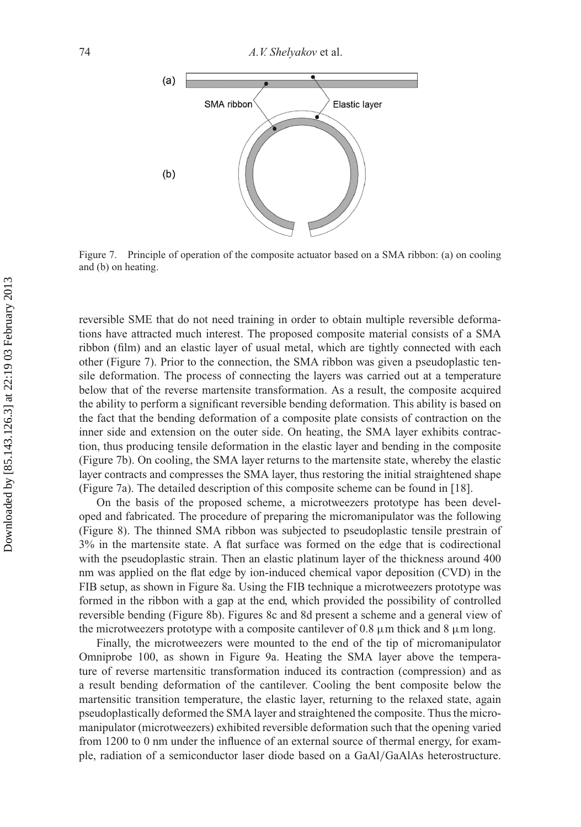

Figure 7. Principle of operation of the composite actuator based on a SMA ribbon: (a) on cooling and (b) on heating.

reversible SME that do not need training in order to obtain multiple reversible deformations have attracted much interest. The proposed composite material consists of a SMA ribbon (film) and an elastic layer of usual metal, which are tightly connected with each other (Figure 7). Prior to the connection, the SMA ribbon was given a pseudoplastic tensile deformation. The process of connecting the layers was carried out at a temperature below that of the reverse martensite transformation. As a result, the composite acquired the ability to perform a significant reversible bending deformation. This ability is based on the fact that the bending deformation of a composite plate consists of contraction on the inner side and extension on the outer side. On heating, the SMA layer exhibits contraction, thus producing tensile deformation in the elastic layer and bending in the composite (Figure 7b). On cooling, the SMA layer returns to the martensite state, whereby the elastic layer contracts and compresses the SMA layer, thus restoring the initial straightened shape (Figure 7a). The detailed description of this composite scheme can be found in [18].

On the basis of the proposed scheme, a microtweezers prototype has been developed and fabricated. The procedure of preparing the micromanipulator was the following (Figure 8). The thinned SMA ribbon was subjected to pseudoplastic tensile prestrain of 3% in the martensite state. A flat surface was formed on the edge that is codirectional with the pseudoplastic strain. Then an elastic platinum layer of the thickness around 400 nm was applied on the flat edge by ion-induced chemical vapor deposition (CVD) in the FIB setup, as shown in Figure 8a. Using the FIB technique a microtweezers prototype was formed in the ribbon with a gap at the end, which provided the possibility of controlled reversible bending (Figure 8b). Figures 8c and 8d present a scheme and a general view of the microtweezers prototype with a composite cantilever of 0.8  $\mu$ m thick and 8  $\mu$ m long.

Finally, the microtweezers were mounted to the end of the tip of micromanipulator Omniprobe 100, as shown in Figure 9a. Heating the SMA layer above the temperature of reverse martensitic transformation induced its contraction (compression) and as a result bending deformation of the cantilever. Cooling the bent composite below the martensitic transition temperature, the elastic layer, returning to the relaxed state, again pseudoplastically deformed the SMA layer and straightened the composite. Thus the micromanipulator (microtweezers) exhibited reversible deformation such that the opening varied from 1200 to 0 nm under the influence of an external source of thermal energy, for example, radiation of a semiconductor laser diode based on a GaAl/GaAlAs heterostructure.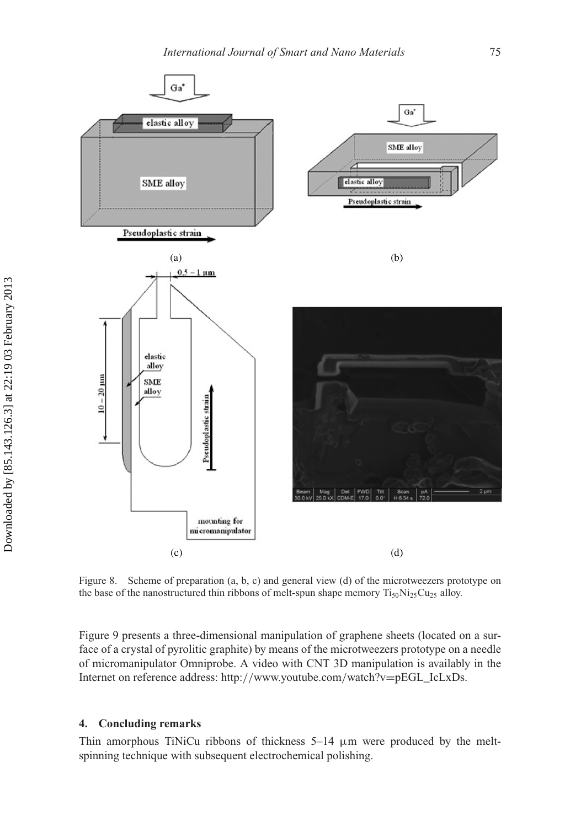

Figure 8. Scheme of preparation (a, b, c) and general view (d) of the microtweezers prototype on the base of the nanostructured thin ribbons of melt-spun shape memory  $Ti_{50}Ni_{25}Cu_{25}$  alloy.

Figure 9 presents a three-dimensional manipulation of graphene sheets (located on a surface of a crystal of pyrolitic graphite) by means of the microtweezers prototype on a needle of micromanipulator Omniprobe. A video with CNT 3D manipulation is availably in the Internet on reference address: http://www.youtube.com/watch?v=pEGL\_IcLxDs.

#### **4. Concluding remarks**

Thin amorphous TiNiCu ribbons of thickness  $5-14 \mu m$  were produced by the meltspinning technique with subsequent electrochemical polishing.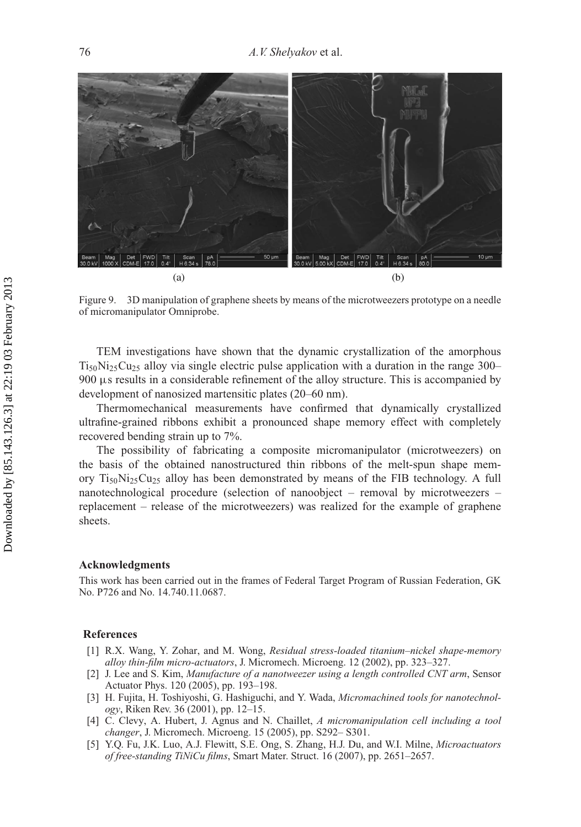

Figure 9. 3D manipulation of graphene sheets by means of the microtweezers prototype on a needle of micromanipulator Omniprobe.

TEM investigations have shown that the dynamic crystallization of the amorphous  $Ti<sub>50</sub>Ni<sub>25</sub>Cu<sub>25</sub>$  alloy via single electric pulse application with a duration in the range 300– 900 µs results in a considerable refinement of the alloy structure. This is accompanied by development of nanosized martensitic plates (20–60 nm).

Thermomechanical measurements have confirmed that dynamically crystallized ultrafine-grained ribbons exhibit a pronounced shape memory effect with completely recovered bending strain up to 7%.

The possibility of fabricating a composite micromanipulator (microtweezers) on the basis of the obtained nanostructured thin ribbons of the melt-spun shape memory  $Ti_{50}Ni_{25}Cu_{25}$  alloy has been demonstrated by means of the FIB technology. A full nanotechnological procedure (selection of nanoobject – removal by microtweezers – replacement – release of the microtweezers) was realized for the example of graphene sheets.

#### **Acknowledgments**

This work has been carried out in the frames of Federal Target Program of Russian Federation, GK No. P726 and No. 14.740.11.0687.

#### **References**

- [1] R.X. Wang, Y. Zohar, and M. Wong, *Residual stress-loaded titanium–nickel shape-memory alloy thin-film micro-actuators*, J. Micromech. Microeng. 12 (2002), pp. 323–327.
- [2] J. Lee and S. Kim, *Manufacture of a nanotweezer using a length controlled CNT arm*, Sensor Actuator Phys. 120 (2005), pp. 193–198.
- [3] H. Fujita, H. Toshiyoshi, G. Hashiguchi, and Y. Wada, *Micromachined tools for nanotechnology*, Riken Rev. 36 (2001), pp. 12–15.
- [4] C. Clevy, A. Hubert, J. Agnus and N. Chaillet, *A micromanipulation cell including a tool changer*, J. Micromech. Microeng. 15 (2005), pp. S292– S301.
- [5] Y.Q. Fu, J.K. Luo, A.J. Flewitt, S.E. Ong, S. Zhang, H.J. Du, and W.I. Milne, *Microactuators of free-standing TiNiCu films*, Smart Mater. Struct. 16 (2007), pp. 2651–2657.